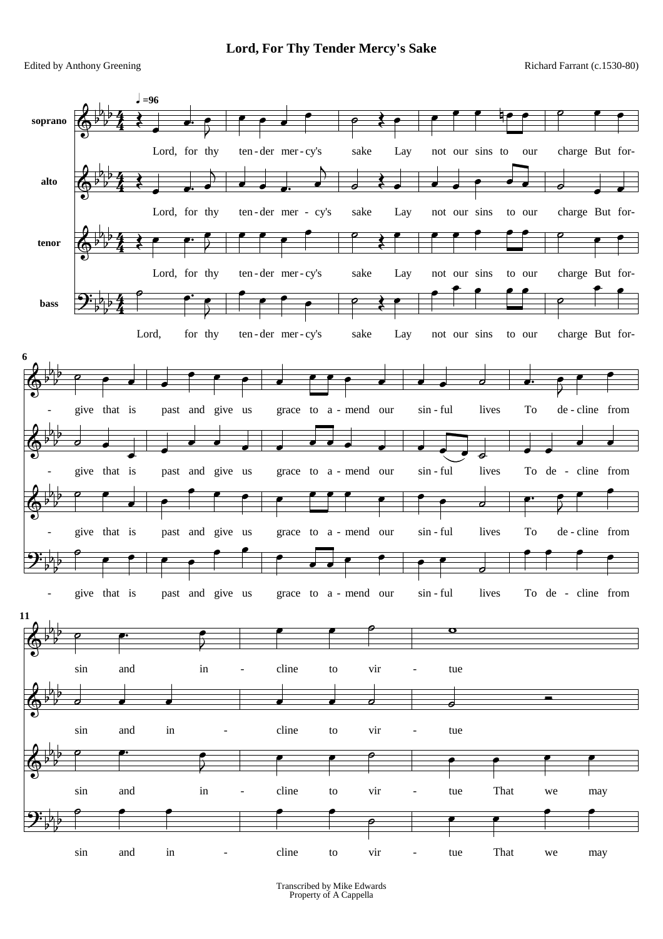**Lord, For Thy Tender Mercy's Sake**

Edited by Anthony Greening **Richard Farrant (c.1530-80)** Richard Farrant (c.1530-80)